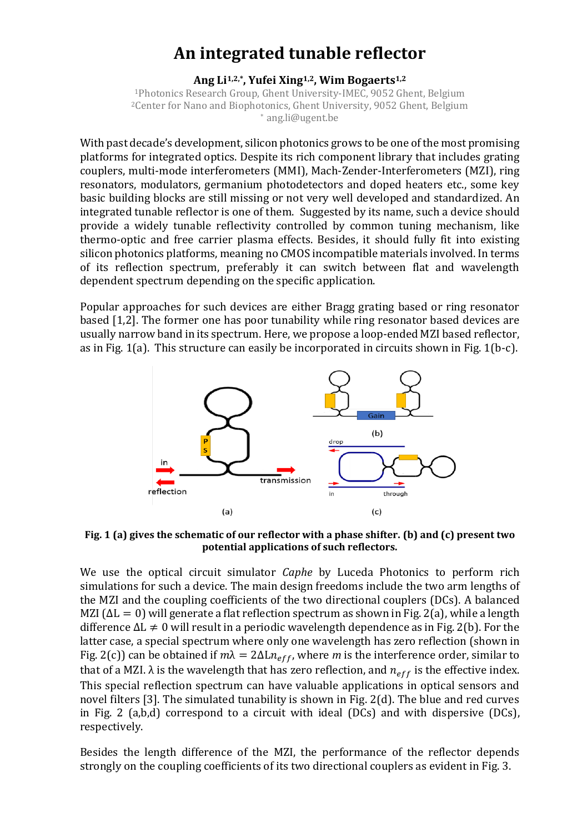## **An integrated tunable reflector**

## **Ang Li1,2,\* , Yufei Xing1,2, Wim Bogaerts1,2**

<sup>1</sup>Photonics Research Group, Ghent University-IMEC, 9052 Ghent, Belgium <sup>2</sup>Center for Nano and Biophotonics, Ghent University, 9052 Ghent, Belgium \* ang.li@ugent.be

With past decade's development, silicon photonics grows to be one of the most promising platforms for integrated optics. Despite its rich component library that includes grating couplers, multi-mode interferometers (MMI), Mach-Zender-Interferometers (MZI), ring resonators, modulators, germanium photodetectors and doped heaters etc., some key basic building blocks are still missing or not very well developed and standardized. An integrated tunable reflector is one of them. Suggested by its name, such a device should provide a widely tunable reflectivity controlled by common tuning mechanism, like thermo-optic and free carrier plasma effects. Besides, it should fully fit into existing silicon photonics platforms, meaning no CMOS incompatible materials involved. In terms of its reflection spectrum, preferably it can switch between flat and wavelength dependent spectrum depending on the specific application.

Popular approaches for such devices are either Bragg grating based or ring resonator based [1,2]. The former one has poor tunability while ring resonator based devices are usually narrow band in its spectrum. Here, we propose a loop-ended MZI based reflector, as in Fig. 1(a). This structure can easily be incorporated in circuits shown in Fig. 1(b-c).



**Fig. 1 (a) gives the schematic of our reflector with a phase shifter. (b) and (c) present two potential applications of such reflectors.**

We use the optical circuit simulator *Caphe* by Luceda Photonics to perform rich simulations for such a device. The main design freedoms include the two arm lengths of the MZI and the coupling coefficients of the two directional couplers (DCs). A balanced MZI ( $\Delta L = 0$ ) will generate a flat reflection spectrum as shown in Fig. 2(a), while a length difference  $\Delta L \neq 0$  will result in a periodic wavelength dependence as in Fig. 2(b). For the latter case, a special spectrum where only one wavelength has zero reflection (shown in Fig. 2(c)) can be obtained if  $m\lambda = 2\Delta Ln_{eff}$ , where *m* is the interference order, similar to that of a MZI.  $\lambda$  is the wavelength that has zero reflection, and  $n_{eff}$  is the effective index. This special reflection spectrum can have valuable applications in optical sensors and novel filters [3]. The simulated tunability is shown in Fig. 2(d). The blue and red curves in Fig. 2 (a,b,d) correspond to a circuit with ideal (DCs) and with dispersive (DCs), respectively.

Besides the length difference of the MZI, the performance of the reflector depends strongly on the coupling coefficients of its two directional couplers as evident in Fig. 3.